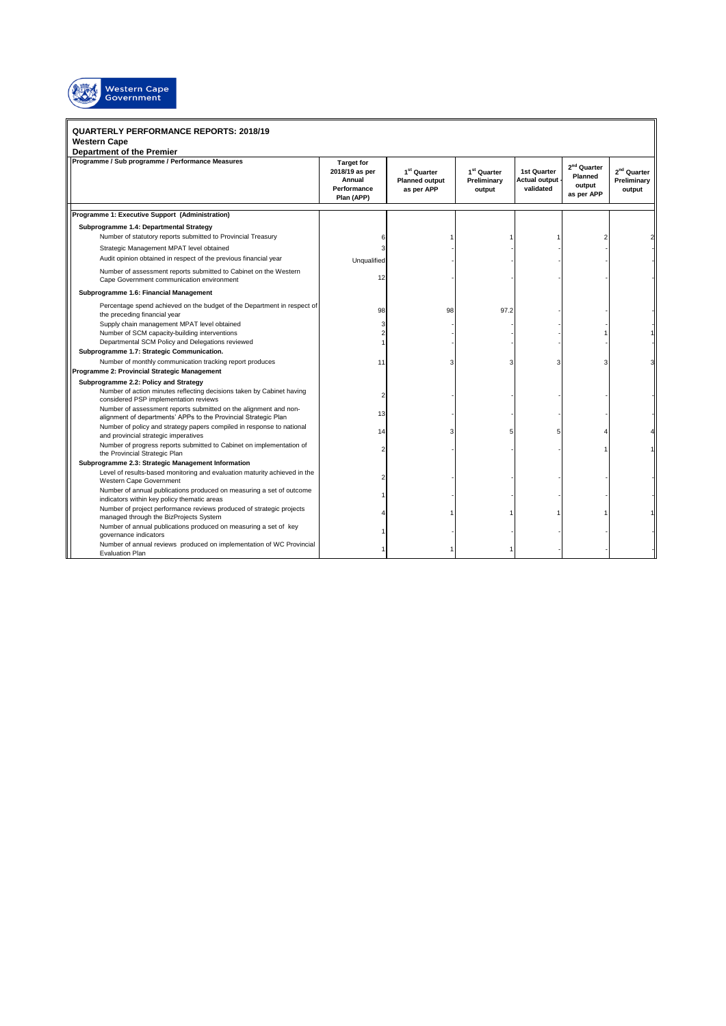

## **QUARTERLY PERFORMANCE REPORTS: 2018/19**

## **Western Cape**

| <b>Department of the Premier</b>                                                                                                                        |                                                                            |                                                                |                                                  |                                             |                                                            |                                                  |  |
|---------------------------------------------------------------------------------------------------------------------------------------------------------|----------------------------------------------------------------------------|----------------------------------------------------------------|--------------------------------------------------|---------------------------------------------|------------------------------------------------------------|--------------------------------------------------|--|
| Programme / Sub programme / Performance Measures                                                                                                        | <b>Target for</b><br>2018/19 as per<br>Annual<br>Performance<br>Plan (APP) | 1 <sup>st</sup> Quarter<br><b>Planned output</b><br>as per APP | 1 <sup>st</sup> Quarter<br>Preliminary<br>output | 1st Quarter<br>Actual output -<br>validated | 2 <sup>nd</sup> Quarter<br>Planned<br>output<br>as per APP | 2 <sup>nd</sup> Quarter<br>Preliminary<br>output |  |
| Programme 1: Executive Support (Administration)                                                                                                         |                                                                            |                                                                |                                                  |                                             |                                                            |                                                  |  |
| Subprogramme 1.4: Departmental Strategy                                                                                                                 |                                                                            |                                                                |                                                  |                                             |                                                            |                                                  |  |
| Number of statutory reports submitted to Provincial Treasury                                                                                            |                                                                            |                                                                |                                                  |                                             |                                                            |                                                  |  |
| Strategic Management MPAT level obtained                                                                                                                |                                                                            |                                                                |                                                  |                                             |                                                            |                                                  |  |
| Audit opinion obtained in respect of the previous financial year                                                                                        | Unqualified                                                                |                                                                |                                                  |                                             |                                                            |                                                  |  |
| Number of assessment reports submitted to Cabinet on the Western<br>Cape Government communication environment                                           | 12                                                                         |                                                                |                                                  |                                             |                                                            |                                                  |  |
| Subprogramme 1.6: Financial Management                                                                                                                  |                                                                            |                                                                |                                                  |                                             |                                                            |                                                  |  |
| Percentage spend achieved on the budget of the Department in respect of<br>the preceding financial year                                                 | 98                                                                         | 98                                                             | 97.2                                             |                                             |                                                            |                                                  |  |
| Supply chain management MPAT level obtained                                                                                                             | 3                                                                          |                                                                |                                                  |                                             |                                                            |                                                  |  |
| Number of SCM capacity-building interventions                                                                                                           | $\overline{2}$                                                             |                                                                |                                                  |                                             |                                                            |                                                  |  |
| Departmental SCM Policy and Delegations reviewed                                                                                                        |                                                                            |                                                                |                                                  |                                             |                                                            |                                                  |  |
| Subprogramme 1.7: Strategic Communication.                                                                                                              |                                                                            |                                                                |                                                  |                                             |                                                            |                                                  |  |
| Number of monthly communication tracking report produces                                                                                                | 11                                                                         |                                                                |                                                  |                                             |                                                            |                                                  |  |
| Programme 2: Provincial Strategic Management                                                                                                            |                                                                            |                                                                |                                                  |                                             |                                                            |                                                  |  |
| Subprogramme 2.2: Policy and Strategy<br>Number of action minutes reflecting decisions taken by Cabinet having<br>considered PSP implementation reviews | 2                                                                          |                                                                |                                                  |                                             |                                                            |                                                  |  |
| Number of assessment reports submitted on the alignment and non-<br>alignment of departments' APPs to the Provincial Strategic Plan                     | 13                                                                         |                                                                |                                                  |                                             |                                                            |                                                  |  |
| Number of policy and strategy papers compiled in response to national<br>and provincial strategic imperatives                                           | 14                                                                         |                                                                |                                                  |                                             |                                                            |                                                  |  |
| Number of progress reports submitted to Cabinet on implementation of<br>the Provincial Strategic Plan                                                   | $\overline{2}$                                                             |                                                                |                                                  |                                             |                                                            |                                                  |  |
| Subprogramme 2.3: Strategic Management Information                                                                                                      |                                                                            |                                                                |                                                  |                                             |                                                            |                                                  |  |
| Level of results-based monitoring and evaluation maturity achieved in the<br>Western Cape Government                                                    |                                                                            |                                                                |                                                  |                                             |                                                            |                                                  |  |
| Number of annual publications produced on measuring a set of outcome<br>indicators within key policy thematic areas                                     |                                                                            |                                                                |                                                  |                                             |                                                            |                                                  |  |
| Number of project performance reviews produced of strategic projects<br>managed through the BizProjects System                                          |                                                                            |                                                                |                                                  |                                             |                                                            |                                                  |  |
| Number of annual publications produced on measuring a set of key<br>governance indicators                                                               |                                                                            |                                                                |                                                  |                                             |                                                            |                                                  |  |
| Number of annual reviews produced on implementation of WC Provincial<br><b>Evaluation Plan</b>                                                          |                                                                            |                                                                |                                                  |                                             |                                                            |                                                  |  |

 $\mathbb I$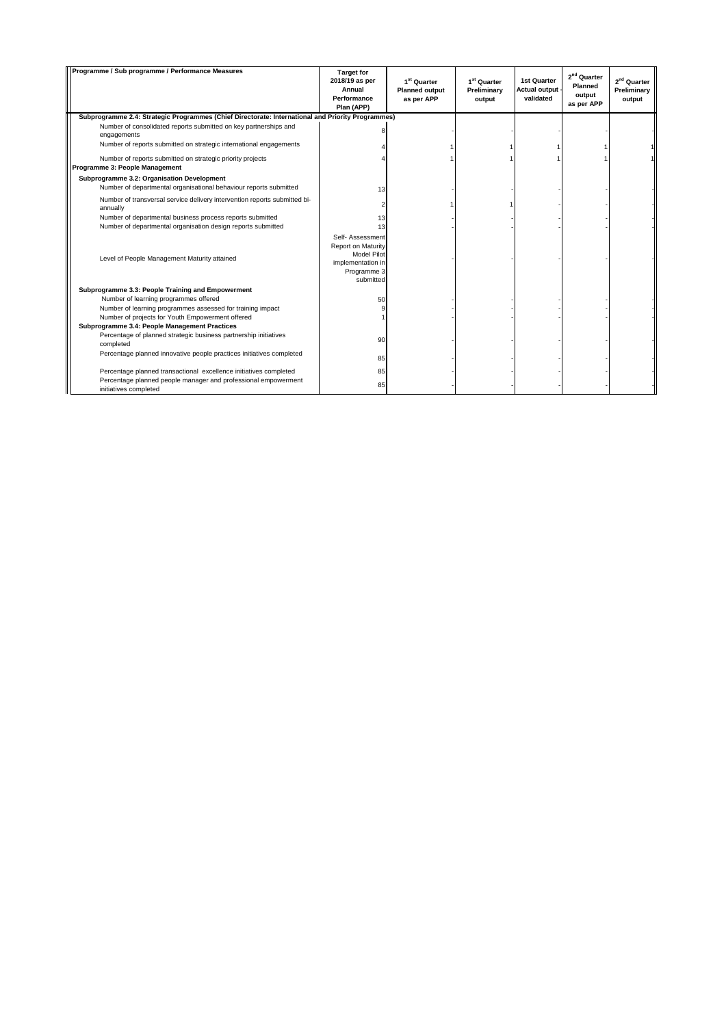| Programme / Sub programme / Performance Measures                                                                                                      | <b>Target for</b><br>2018/19 as per<br>Annual<br>Performance<br>Plan (APP)                                    | 1 <sup>st</sup> Quarter<br><b>Planned output</b><br>as per APP | 1 <sup>st</sup> Quarter<br>Preliminary<br>output | <b>1st Quarter</b><br>Actual output<br>validated | 2 <sup>nd</sup> Quarter<br>Planned<br>output<br>as per APP | 2 <sup>nd</sup> Quarter<br>Preliminary<br>output |
|-------------------------------------------------------------------------------------------------------------------------------------------------------|---------------------------------------------------------------------------------------------------------------|----------------------------------------------------------------|--------------------------------------------------|--------------------------------------------------|------------------------------------------------------------|--------------------------------------------------|
| Subprogramme 2.4: Strategic Programmes (Chief Directorate: International and Priority Programmes)                                                     |                                                                                                               |                                                                |                                                  |                                                  |                                                            |                                                  |
| Number of consolidated reports submitted on key partnerships and<br>engagements<br>Number of reports submitted on strategic international engagements |                                                                                                               |                                                                |                                                  |                                                  |                                                            |                                                  |
|                                                                                                                                                       |                                                                                                               |                                                                |                                                  |                                                  |                                                            |                                                  |
| Number of reports submitted on strategic priority projects<br>Programme 3: People Management                                                          |                                                                                                               |                                                                |                                                  |                                                  |                                                            |                                                  |
| Subprogramme 3.2: Organisation Development                                                                                                            |                                                                                                               |                                                                |                                                  |                                                  |                                                            |                                                  |
| Number of departmental organisational behaviour reports submitted                                                                                     | 13                                                                                                            |                                                                |                                                  |                                                  |                                                            |                                                  |
| Number of transversal service delivery intervention reports submitted bi-<br>annually                                                                 | $\overline{2}$                                                                                                |                                                                |                                                  |                                                  |                                                            |                                                  |
| Number of departmental business process reports submitted                                                                                             | 13                                                                                                            |                                                                |                                                  |                                                  |                                                            |                                                  |
| Number of departmental organisation design reports submitted                                                                                          | 13                                                                                                            |                                                                |                                                  |                                                  |                                                            |                                                  |
| Level of People Management Maturity attained                                                                                                          | Self- Assessment<br>Report on Maturity<br><b>Model Pilot</b><br>implementation in<br>Programme 3<br>submitted |                                                                |                                                  |                                                  |                                                            |                                                  |
| Subprogramme 3.3: People Training and Empowerment                                                                                                     |                                                                                                               |                                                                |                                                  |                                                  |                                                            |                                                  |
| Number of learning programmes offered                                                                                                                 | 50                                                                                                            |                                                                |                                                  |                                                  |                                                            |                                                  |
| Number of learning programmes assessed for training impact                                                                                            |                                                                                                               |                                                                |                                                  |                                                  |                                                            |                                                  |
| Number of projects for Youth Empowerment offered                                                                                                      |                                                                                                               |                                                                |                                                  |                                                  |                                                            |                                                  |
| Subprogramme 3.4: People Management Practices                                                                                                         |                                                                                                               |                                                                |                                                  |                                                  |                                                            |                                                  |
| Percentage of planned strategic business partnership initiatives<br>completed                                                                         | 90                                                                                                            |                                                                |                                                  |                                                  |                                                            |                                                  |
| Percentage planned innovative people practices initiatives completed                                                                                  | 85                                                                                                            |                                                                |                                                  |                                                  |                                                            |                                                  |
| Percentage planned transactional excellence initiatives completed                                                                                     | 85                                                                                                            |                                                                |                                                  |                                                  |                                                            |                                                  |
| Percentage planned people manager and professional empowerment<br>initiatives completed                                                               | 85                                                                                                            |                                                                |                                                  |                                                  |                                                            |                                                  |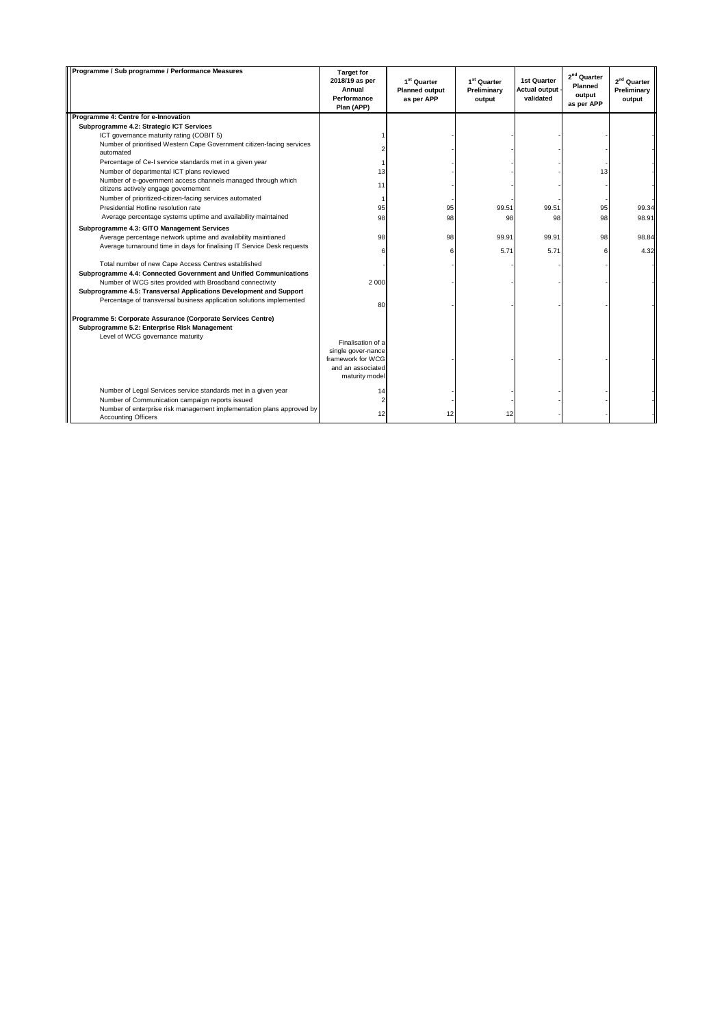| Programme / Sub programme / Performance Measures                                                     | <b>Target for</b><br>2018/19 as per<br>Annual<br>Performance<br>Plan (APP) | 1 <sup>st</sup> Quarter<br><b>Planned output</b><br>as per APP | 1 <sup>st</sup> Quarter<br>Preliminary<br>output | <b>1st Quarter</b><br>Actual output -<br>validated | 2 <sup>nd</sup> Quarter<br>Planned<br>output<br>as per APP | 2 <sup>nd</sup> Quarter<br>Preliminary<br>output |
|------------------------------------------------------------------------------------------------------|----------------------------------------------------------------------------|----------------------------------------------------------------|--------------------------------------------------|----------------------------------------------------|------------------------------------------------------------|--------------------------------------------------|
| Programme 4: Centre for e-Innovation                                                                 |                                                                            |                                                                |                                                  |                                                    |                                                            |                                                  |
| Subprogramme 4.2: Strategic ICT Services                                                             |                                                                            |                                                                |                                                  |                                                    |                                                            |                                                  |
| ICT governance maturity rating (COBIT 5)                                                             |                                                                            |                                                                |                                                  |                                                    |                                                            |                                                  |
| Number of prioritised Western Cape Government citizen-facing services<br>automated                   |                                                                            |                                                                |                                                  |                                                    |                                                            |                                                  |
| Percentage of Ce-I service standards met in a given year                                             |                                                                            |                                                                |                                                  |                                                    |                                                            |                                                  |
| Number of departmental ICT plans reviewed                                                            | 13                                                                         |                                                                |                                                  |                                                    | 13                                                         |                                                  |
| Number of e-government access channels managed through which<br>citizens actively engage governement | 11                                                                         |                                                                |                                                  |                                                    |                                                            |                                                  |
| Number of prioritized-citizen-facing services automated                                              | 1                                                                          |                                                                |                                                  |                                                    |                                                            |                                                  |
| Presidential Hotline resolution rate                                                                 | 95                                                                         | 95                                                             | 99.51                                            | 99.51                                              | 95                                                         | 99.34                                            |
| Average percentage systems uptime and availability maintained                                        | 98                                                                         | 98                                                             | 98                                               | 98                                                 | 98                                                         | 98.91                                            |
| Subprogramme 4.3: GITO Management Services                                                           |                                                                            |                                                                |                                                  |                                                    |                                                            |                                                  |
| Average percentage network uptime and availability maintianed                                        | 98                                                                         | 98                                                             | 99.91                                            | 99.91                                              | 98                                                         | 98.84                                            |
| Average turnaround time in days for finalising IT Service Desk requests                              |                                                                            |                                                                |                                                  |                                                    |                                                            |                                                  |
|                                                                                                      | 6                                                                          |                                                                | 5.71                                             | 5.71                                               | 6                                                          | 4.32                                             |
| Total number of new Cape Access Centres established                                                  |                                                                            |                                                                |                                                  |                                                    |                                                            |                                                  |
| Subprogramme 4.4: Connected Government and Unified Communications                                    |                                                                            |                                                                |                                                  |                                                    |                                                            |                                                  |
| Number of WCG sites provided with Broadband connectivity                                             | 2 0 0 0                                                                    |                                                                |                                                  |                                                    |                                                            |                                                  |
| Subprogramme 4.5: Transversal Applications Development and Support                                   |                                                                            |                                                                |                                                  |                                                    |                                                            |                                                  |
| Percentage of transversal business application solutions implemented                                 | 80                                                                         |                                                                |                                                  |                                                    |                                                            |                                                  |
|                                                                                                      |                                                                            |                                                                |                                                  |                                                    |                                                            |                                                  |
| Programme 5: Corporate Assurance (Corporate Services Centre)                                         |                                                                            |                                                                |                                                  |                                                    |                                                            |                                                  |
| Subprogramme 5.2: Enterprise Risk Management                                                         |                                                                            |                                                                |                                                  |                                                    |                                                            |                                                  |
| Level of WCG governance maturity                                                                     | Finalisation of a                                                          |                                                                |                                                  |                                                    |                                                            |                                                  |
|                                                                                                      | single gover-nance                                                         |                                                                |                                                  |                                                    |                                                            |                                                  |
|                                                                                                      | framework for WCG                                                          |                                                                |                                                  |                                                    |                                                            |                                                  |
|                                                                                                      | and an associated                                                          |                                                                |                                                  |                                                    |                                                            |                                                  |
|                                                                                                      | maturity model                                                             |                                                                |                                                  |                                                    |                                                            |                                                  |
| Number of Legal Services service standards met in a given year                                       | 14                                                                         |                                                                |                                                  |                                                    |                                                            |                                                  |
| Number of Communication campaign reports issued                                                      |                                                                            |                                                                |                                                  |                                                    |                                                            |                                                  |
| Number of enterprise risk management implementation plans approved by                                |                                                                            |                                                                |                                                  |                                                    |                                                            |                                                  |
| <b>Accounting Officers</b>                                                                           | 12                                                                         | 12                                                             | 12                                               |                                                    |                                                            |                                                  |